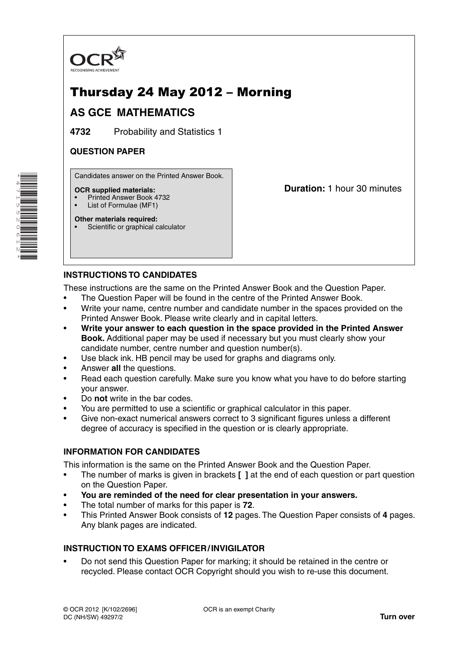

# Thursday 24 May 2012 – Morning

## **AS GCE MATHEMATICS**

**4732** Probability and Statistics 1

### **QUESTION PAPER**

Candidates answer on the Printed Answer Book.

#### **OCR supplied materials:**

- Printed Answer Book 4732
- List of Formulae (MF1)

**Duration:** 1 hour 30 minutes

#### **Other materials required:** Scientific or graphical calculator

### **INSTRUCTIONS TO CANDIDATES**

These instructions are the same on the Printed Answer Book and the Question Paper.

- The Question Paper will be found in the centre of the Printed Answer Book.
- Write your name, centre number and candidate number in the spaces provided on the Printed Answer Book. Please write clearly and in capital letters.
- **Write your answer to each question in the space provided in the Printed Answer Book.** Additional paper may be used if necessary but you must clearly show your candidate number, centre number and question number(s).
- Use black ink. HB pencil may be used for graphs and diagrams only.
- Answer **all** the questions.
- Read each question carefully. Make sure you know what you have to do before starting your answer.
- Do **not** write in the bar codes.
- You are permitted to use a scientific or graphical calculator in this paper.
- Give non-exact numerical answers correct to 3 significant figures unless a different degree of accuracy is specified in the question or is clearly appropriate.

### **INFORMATION FOR CANDIDATES**

This information is the same on the Printed Answer Book and the Question Paper.

- The number of marks is given in brackets **[ ]** at the end of each question or part question on the Question Paper.
- **You are reminded of the need for clear presentation in your answers.**
- The total number of marks for this paper is **72**.
- This Printed Answer Book consists of **12** pages. The Question Paper consists of **4** pages. Any blank pages are indicated.

### **INSTRUCTION TO EXAMS OFFICER / INVIGILATOR**

• Do not send this Question Paper for marking; it should be retained in the centre or recycled. Please contact OCR Copyright should you wish to re-use this document.

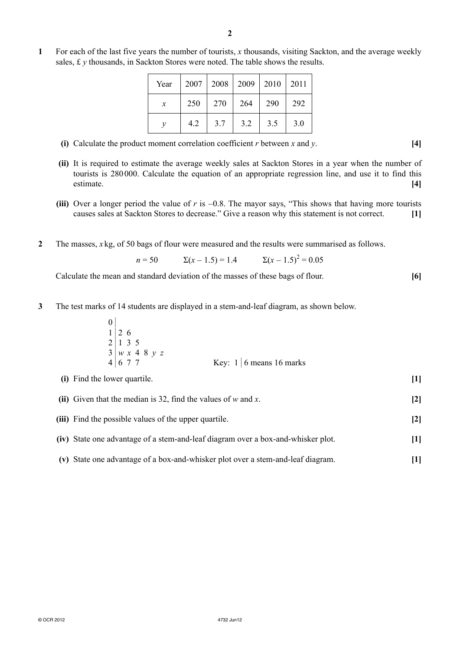**1** For each of the last five years the number of tourists, *x* thousands, visiting Sackton, and the average weekly sales, £ *y* thousands, in Sackton Stores were noted. The table shows the results.

| Year                | $2007$   2008 |     | 2009   2010 |     | 2011 |
|---------------------|---------------|-----|-------------|-----|------|
| $\boldsymbol{\chi}$ | 250           | 270 | 264         | 290 | 292  |
| $\mathcal V$        | 4.2           | 3.7 | 3.2         | 3.5 | 3.0  |

- **(i)** Calculate the product moment correlation coefficient *r* between *x* and *y*. **[4]**
- **(ii)** It is required to estimate the average weekly sales at Sackton Stores in a year when the number of tourists is 280 000. Calculate the equation of an appropriate regression line, and use it to find this estimate. **[4]**
- **(iii)** Over a longer period the value of *r* is −0.8. The mayor says, "This shows that having more tourists causes sales at Sackton Stores to decrease." Give a reason why this statement is not correct. **[1]**
- **2** The masses, *x* kg, of 50 bags of flour were measured and the results were summarised as follows.

$$
n = 50 \qquad \Sigma(x - 1.5) = 1.4 \qquad \Sigma(x - 1.5)^2 = 0.05
$$

Calculate the mean and standard deviation of the masses of these bags of flour. **[6]**

**3** The test marks of 14 students are displayed in a stem-and-leaf diagram, as shown below.

| $1\vert 2\vert 6$                                                                         |                                |
|-------------------------------------------------------------------------------------------|--------------------------------|
| $2 \mid 1 \; 3 \; 5$                                                                      |                                |
| $\begin{array}{c ccccc}\n3 & w & x & 4 & 8 & y & z \\ 4 & 6 & 7 & 7 & & & \\ \end{array}$ |                                |
|                                                                                           | Key: $1 \mid 6$ means 16 marks |
|                                                                                           |                                |

| (ii) Given that the median is 32, find the values of $w$ and $x$ . | $\lceil 2 \rceil$ |
|--------------------------------------------------------------------|-------------------|
| (iii) Find the possible values of the upper quartile.              | $\lceil 2 \rceil$ |

 **(i)** Find the lower quartile. **[1]**

- **(iv)** State one advantage of a stem-and-leaf diagram over a box-and-whisker plot. **[1]**
- **(v)** State one advantage of a box-and-whisker plot over a stem-and-leaf diagram. **[1]**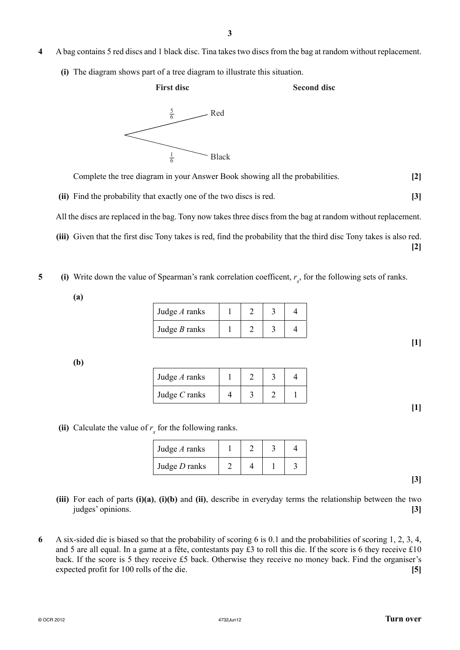- **4** A bag contains 5 red discs and 1 black disc. Tina takes two discs from the bag at random without replacement.
	- **(i)** The diagram shows part of a tree diagram to illustrate this situation.

#### **First disc**

#### **Second disc**



Complete the tree diagram in your Answer Book showing all the probabilities. **[2]**

 **(ii)** Find the probability that exactly one of the two discs is red. **[3]**

All the discs are replaced in the bag. Tony now takes three discs from the bag at random without replacement.

 **(iii)** Given that the first disc Tony takes is red, find the probability that the third disc Tony takes is also red. **[2]**

**5** (i) Write down the value of Spearman's rank correlation coefficent,  $r_s$ , for the following sets of ranks.

**(a)**

| Judge $A$ ranks |  |  |
|-----------------|--|--|
| Judge $B$ ranks |  |  |

**(b)**

| Judge $A$ ranks |  |  |
|-----------------|--|--|
| Judge $C$ ranks |  |  |

**[1]**

**[1]**

(ii) Calculate the value of  $r<sub>s</sub>$  for the following ranks.

| Judge $A$ ranks |  |  |
|-----------------|--|--|
| Judge $D$ ranks |  |  |

**[3]**

- **(iii)** For each of parts **(i)(a)**, **(i)(b)** and **(ii)**, describe in everyday terms the relationship between the two judges' opinions. **[3]**
- **6** A six-sided die is biased so that the probability of scoring 6 is 0.1 and the probabilities of scoring 1, 2, 3, 4, and 5 are all equal. In a game at a fête, contestants pay £3 to roll this die. If the score is 6 they receive £10 back. If the score is 5 they receive £5 back. Otherwise they receive no money back. Find the organiser's expected profit for 100 rolls of the die. **[5]**